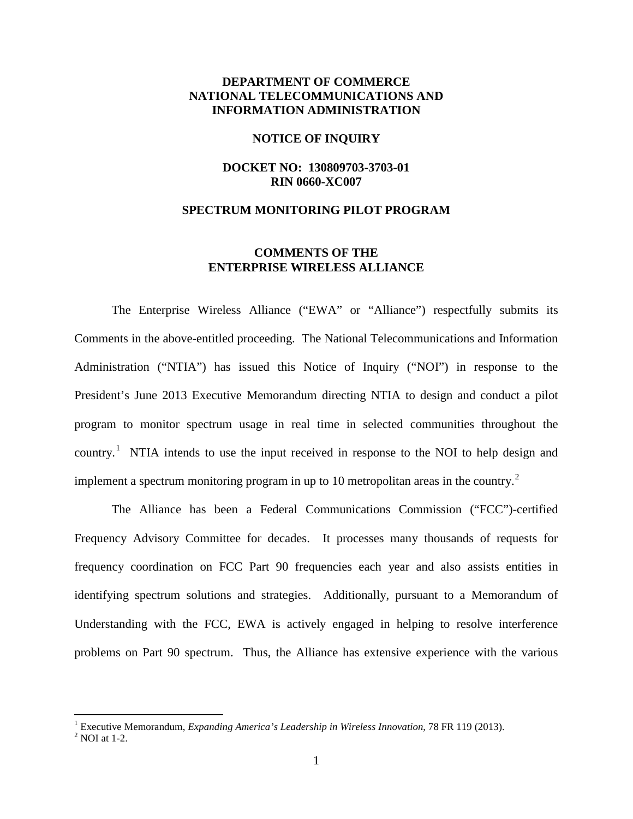# **DEPARTMENT OF COMMERCE NATIONAL TELECOMMUNICATIONS AND INFORMATION ADMINISTRATION**

#### **NOTICE OF INQUIRY**

## **DOCKET NO: 130809703-3703-01 RIN 0660-XC007**

### **SPECTRUM MONITORING PILOT PROGRAM**

# **COMMENTS OF THE ENTERPRISE WIRELESS ALLIANCE**

The Enterprise Wireless Alliance ("EWA" or "Alliance") respectfully submits its Comments in the above-entitled proceeding. The National Telecommunications and Information Administration ("NTIA") has issued this Notice of Inquiry ("NOI") in response to the President's June 2013 Executive Memorandum directing NTIA to design and conduct a pilot program to monitor spectrum usage in real time in selected communities throughout the country.<sup>[1](#page-0-0)</sup> NTIA intends to use the input received in response to the NOI to help design and implement a spectrum monitoring program in up to 10 metropolitan areas in the country.<sup>[2](#page-0-1)</sup>

The Alliance has been a Federal Communications Commission ("FCC")-certified Frequency Advisory Committee for decades. It processes many thousands of requests for frequency coordination on FCC Part 90 frequencies each year and also assists entities in identifying spectrum solutions and strategies. Additionally, pursuant to a Memorandum of Understanding with the FCC, EWA is actively engaged in helping to resolve interference problems on Part 90 spectrum. Thus, the Alliance has extensive experience with the various

 $\overline{a}$ 

<span id="page-0-0"></span><sup>&</sup>lt;sup>1</sup> Executive Memorandum, *Expanding America's Leadership in Wireless Innovation*, 78 FR 119 (2013).<br><sup>2</sup> NOI at 1-2.

<span id="page-0-1"></span>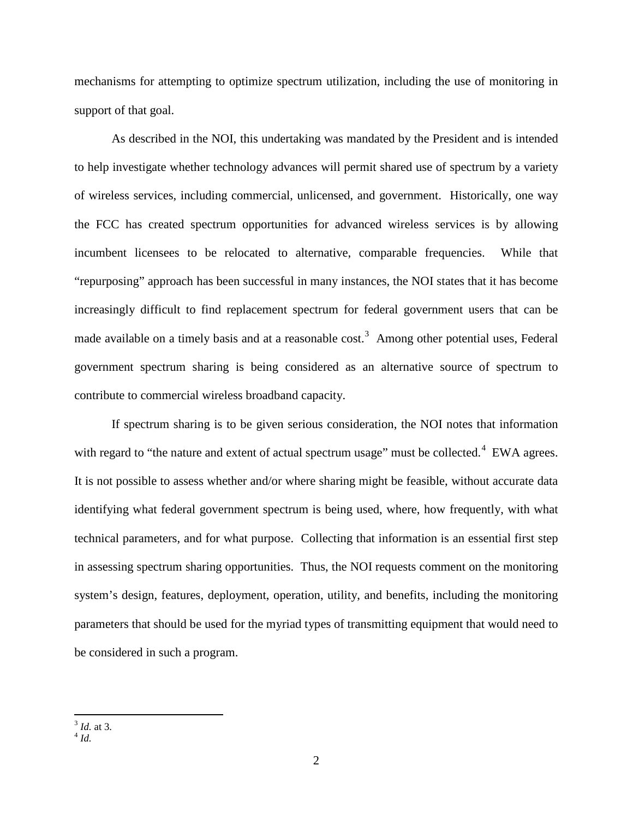mechanisms for attempting to optimize spectrum utilization, including the use of monitoring in support of that goal.

As described in the NOI, this undertaking was mandated by the President and is intended to help investigate whether technology advances will permit shared use of spectrum by a variety of wireless services, including commercial, unlicensed, and government. Historically, one way the FCC has created spectrum opportunities for advanced wireless services is by allowing incumbent licensees to be relocated to alternative, comparable frequencies. While that "repurposing" approach has been successful in many instances, the NOI states that it has become increasingly difficult to find replacement spectrum for federal government users that can be made available on a timely basis and at a reasonable cost.<sup>[3](#page-1-0)</sup> Among other potential uses, Federal government spectrum sharing is being considered as an alternative source of spectrum to contribute to commercial wireless broadband capacity.

If spectrum sharing is to be given serious consideration, the NOI notes that information with regard to "the nature and extent of actual spectrum usage" must be collected.<sup>[4](#page-1-1)</sup> EWA agrees. It is not possible to assess whether and/or where sharing might be feasible, without accurate data identifying what federal government spectrum is being used, where, how frequently, with what technical parameters, and for what purpose. Collecting that information is an essential first step in assessing spectrum sharing opportunities. Thus, the NOI requests comment on the monitoring system's design, features, deployment, operation, utility, and benefits, including the monitoring parameters that should be used for the myriad types of transmitting equipment that would need to be considered in such a program.

<sup>3</sup> *Id.* at 3. <sup>4</sup> *Id.*  $\overline{a}$ 

<span id="page-1-1"></span><span id="page-1-0"></span>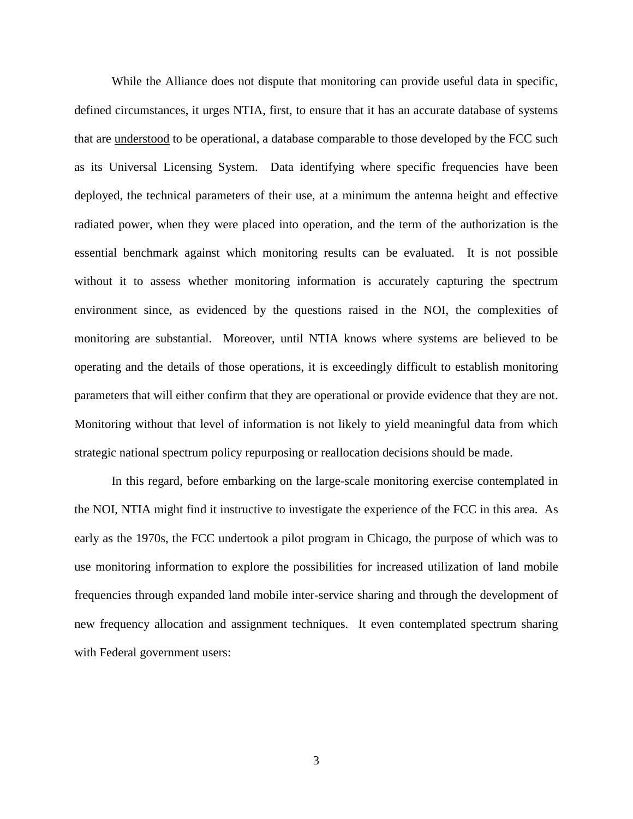While the Alliance does not dispute that monitoring can provide useful data in specific, defined circumstances, it urges NTIA, first, to ensure that it has an accurate database of systems that are understood to be operational, a database comparable to those developed by the FCC such as its Universal Licensing System. Data identifying where specific frequencies have been deployed, the technical parameters of their use, at a minimum the antenna height and effective radiated power, when they were placed into operation, and the term of the authorization is the essential benchmark against which monitoring results can be evaluated. It is not possible without it to assess whether monitoring information is accurately capturing the spectrum environment since, as evidenced by the questions raised in the NOI, the complexities of monitoring are substantial. Moreover, until NTIA knows where systems are believed to be operating and the details of those operations, it is exceedingly difficult to establish monitoring parameters that will either confirm that they are operational or provide evidence that they are not. Monitoring without that level of information is not likely to yield meaningful data from which strategic national spectrum policy repurposing or reallocation decisions should be made.

In this regard, before embarking on the large-scale monitoring exercise contemplated in the NOI, NTIA might find it instructive to investigate the experience of the FCC in this area. As early as the 1970s, the FCC undertook a pilot program in Chicago, the purpose of which was to use monitoring information to explore the possibilities for increased utilization of land mobile frequencies through expanded land mobile inter-service sharing and through the development of new frequency allocation and assignment techniques. It even contemplated spectrum sharing with Federal government users: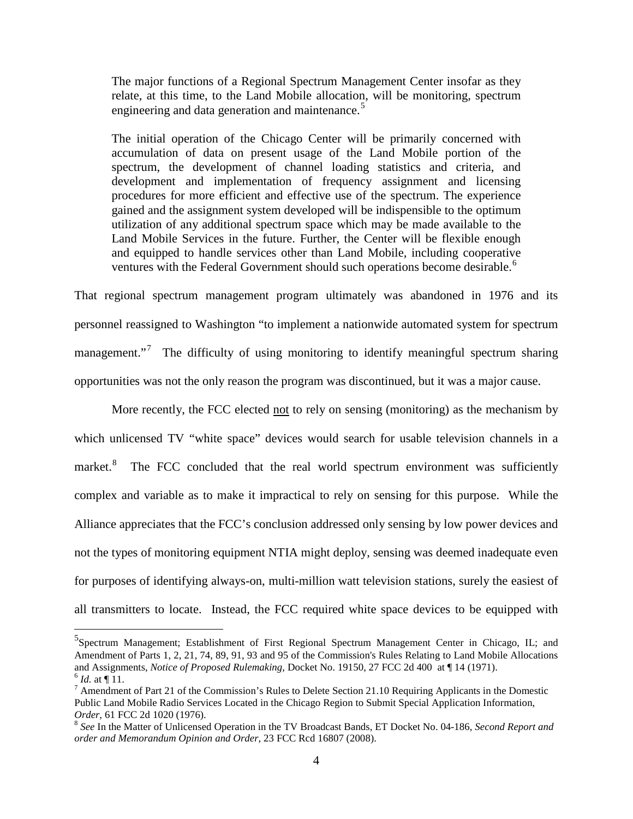The major functions of a Regional Spectrum Management Center insofar as they relate, at this time, to the Land Mobile allocation, will be monitoring, spectrum engineering and data generation and maintenance.<sup>[5](#page-3-0)</sup>

The initial operation of the Chicago Center will be primarily concerned with accumulation of data on present usage of the Land Mobile portion of the spectrum, the development of channel loading statistics and criteria, and development and implementation of frequency assignment and licensing procedures for more efficient and effective use of the spectrum. The experience gained and the assignment system developed will be indispensible to the optimum utilization of any additional spectrum space which may be made available to the Land Mobile Services in the future. Further, the Center will be flexible enough and equipped to handle services other than Land Mobile, including cooperative ventures with the Federal Government should such operations become desirable.<sup>[6](#page-3-1)</sup>

That regional spectrum management program ultimately was abandoned in 1976 and its personnel reassigned to Washington "to implement a nationwide automated system for spectrum management."<sup>[7](#page-3-2)</sup> The difficulty of using monitoring to identify meaningful spectrum sharing opportunities was not the only reason the program was discontinued, but it was a major cause.

More recently, the FCC elected not to rely on sensing (monitoring) as the mechanism by which unlicensed TV "white space" devices would search for usable television channels in a market.<sup>[8](#page-3-3)</sup> The FCC concluded that the real world spectrum environment was sufficiently complex and variable as to make it impractical to rely on sensing for this purpose. While the Alliance appreciates that the FCC's conclusion addressed only sensing by low power devices and not the types of monitoring equipment NTIA might deploy, sensing was deemed inadequate even for purposes of identifying always-on, multi-million watt television stations, surely the easiest of all transmitters to locate. Instead, the FCC required white space devices to be equipped with

 $\overline{a}$ 

<span id="page-3-0"></span><sup>&</sup>lt;sup>5</sup>Spectrum Management; Establishment of First Regional Spectrum Management Center in Chicago, IL; and Amendment of Parts 1, 2, 21, 74, 89, 91, 93 and 95 of the Commission's Rules Relating to Land Mobile Allocations and Assignments, *Notice of Proposed Rulemaking*, Docket No. 19150, 27 FCC 2d 400 at 14 (1971).

<span id="page-3-2"></span><span id="page-3-1"></span> $\frac{6}{7}$  *Id.* at  $\frac{1}{11}$ .<br><sup>7</sup> Amendment of Part 21 of the Commission's Rules to Delete Section 21.10 Requiring Applicants in the Domestic Public Land Mobile Radio Services Located in the Chicago Region to Submit Special Application Information, *Order,* 61 FCC 2d 1020 (1976).<br><sup>8</sup> *See* In the Matter of Unlicensed Operation in the TV Broadcast Bands, ET Docket No. 04-186, *Second Report and* 

<span id="page-3-3"></span>*order and Memorandum Opinion and Order*, 23 FCC Rcd 16807 (2008).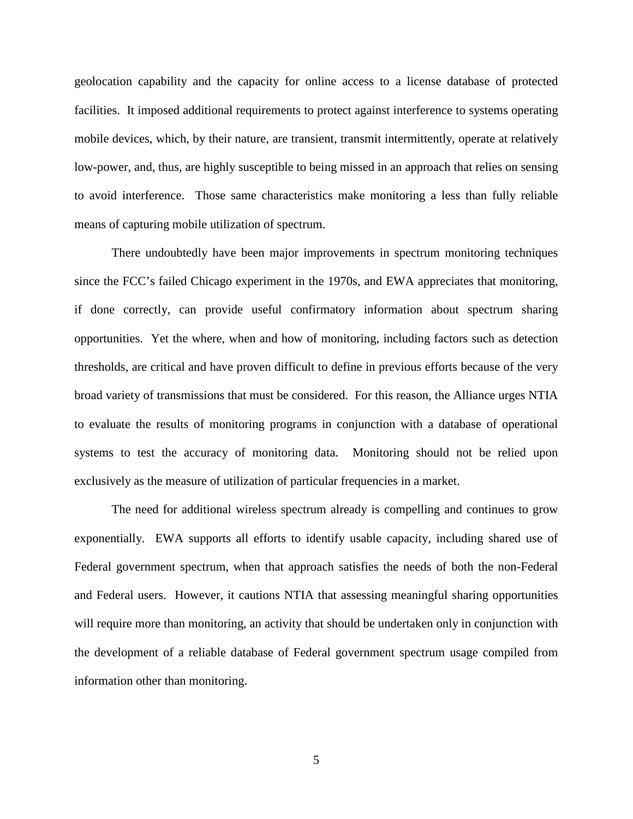geolocation capability and the capacity for online access to a license database of protected facilities. It imposed additional requirements to protect against interference to systems operating mobile devices, which, by their nature, are transient, transmit intermittently, operate at relatively low-power, and, thus, are highly susceptible to being missed in an approach that relies on sensing to avoid interference. Those same characteristics make monitoring a less than fully reliable means of capturing mobile utilization of spectrum.

There undoubtedly have been major improvements in spectrum monitoring techniques since the FCC's failed Chicago experiment in the 1970s, and EWA appreciates that monitoring, if done correctly, can provide useful confirmatory information about spectrum sharing opportunities. Yet the where, when and how of monitoring, including factors such as detection thresholds, are critical and have proven difficult to define in previous efforts because of the very broad variety of transmissions that must be considered. For this reason, the Alliance urges NTIA to evaluate the results of monitoring programs in conjunction with a database of operational systems to test the accuracy of monitoring data. Monitoring should not be relied upon exclusively as the measure of utilization of particular frequencies in a market.

The need for additional wireless spectrum already is compelling and continues to grow exponentially. EWA supports all efforts to identify usable capacity, including shared use of Federal government spectrum, when that approach satisfies the needs of both the non-Federal and Federal users. However, it cautions NTIA that assessing meaningful sharing opportunities will require more than monitoring, an activity that should be undertaken only in conjunction with the development of a reliable database of Federal government spectrum usage compiled from information other than monitoring.